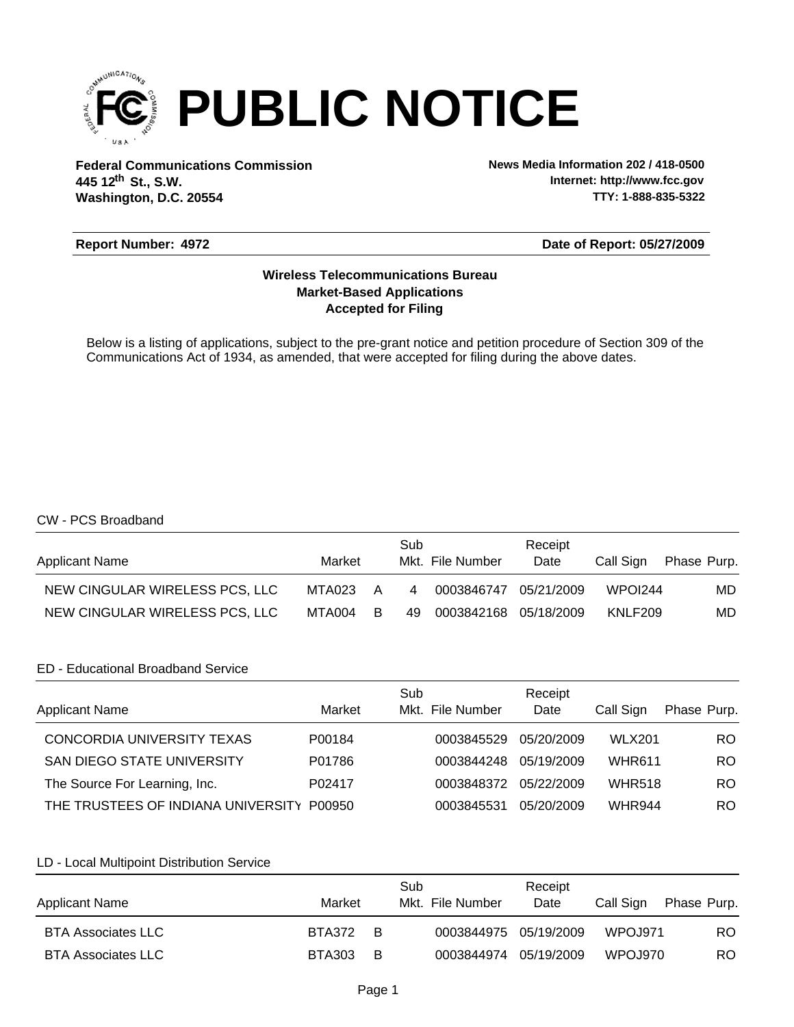

**Federal Communications Commission News Media Information 202 / 418-0500 Washington, D.C. 20554 th 445 12 St., S.W.**

**Internet: http://www.fcc.gov TTY: 1-888-835-5322**

### **Report Number: 4972**

**Date of Report: 05/27/2009**

# **Accepted for Filing Market-Based Applications Wireless Telecommunications Bureau**

Below is a listing of applications, subject to the pre-grant notice and petition procedure of Section 309 of the Communications Act of 1934, as amended, that were accepted for filing during the above dates.

## CW - PCS Broadband

| <b>Applicant Name</b>          | Market   | Sub            | Mkt. File Number      | Receipt<br>Date | Call Sign | Phase Purp. |
|--------------------------------|----------|----------------|-----------------------|-----------------|-----------|-------------|
| NEW CINGULAR WIRELESS PCS, LLC | MTA023 A | $\overline{4}$ | 0003846747            | 05/21/2009      | WPOI244   | MD.         |
| NEW CINGULAR WIRELESS PCS, LLC | MTA004 B | 49             | 0003842168 05/18/2009 |                 | KNLF209   | MD.         |

### ED - Educational Broadband Service

| <b>Applicant Name</b>                     | Market | Sub<br>Mkt. File Number | Receipt<br>Date | Call Sign     | Phase Purp. |
|-------------------------------------------|--------|-------------------------|-----------------|---------------|-------------|
| CONCORDIA UNIVERSITY TEXAS                | P00184 | 0003845529              | 05/20/2009      | <b>WLX201</b> | RO.         |
| <b>SAN DIEGO STATE UNIVERSITY</b>         | P01786 | 0003844248              | 05/19/2009      | <b>WHR611</b> | RO.         |
| The Source For Learning, Inc.             | P02417 | 0003848372              | 05/22/2009      | <b>WHR518</b> | RO.         |
| THE TRUSTEES OF INDIANA UNIVERSITY P00950 |        | 0003845531              | 05/20/2009      | <b>WHR944</b> | RO          |

### LD - Local Multipoint Distribution Service

| <b>Applicant Name</b>     | Market          | Sub<br>Mkt. File Number | Receipt<br>Date | Call Sign       | Phase Purp. |
|---------------------------|-----------------|-------------------------|-----------------|-----------------|-------------|
| <b>BTA Associates LLC</b> | <b>BTA372 B</b> | 0003844975 05/19/2009   |                 | <b>WPO.J971</b> | RO.         |
| <b>BTA Associates LLC</b> | <b>BTA303 B</b> | 0003844974 05/19/2009   |                 | <b>WPOJ970</b>  | RO.         |